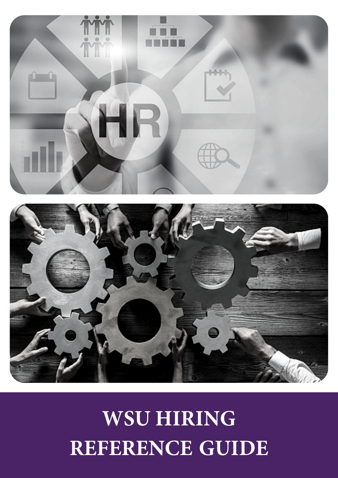## **WSU HIRING REFERENCE GUIDE**



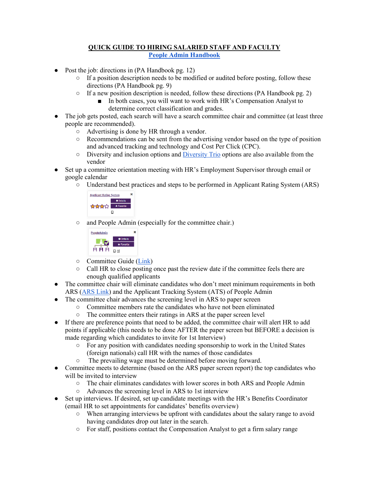## **QUICK GUIDE TO HIRING SALARIED STAFF AND FACULTY [People Admin Handbook](https://www.weber.edu/wsuimages/HumanResources/peopleadmin-manual.pdf)**

- Post the job: directions in (PA Handbook pg. 12)
	- $\circ$  If a position description needs to be modified or audited before posting, follow these directions (PA Handbook pg. 9)
	- $\circ$  If a new position description is needed, follow these directions (PA Handbook pg. 2)
		- In both cases, you will want to work with HR's Compensation Analyst to determine correct classification and grades.
- The job gets posted, each search will have a search committee chair and committee (at least three people are recommended).
	- Advertising is done by HR through a vendor.
	- Recommendations can be sent from the advertising vendor based on the type of position and advanced tracking and technology and Cost Per Click (CPC).
	- Diversity and inclusion options and [Diversity Trio](https://www.jobelephant.com/diversity-recruitment/) options are also available from the vendor
- Set up a committee orientation meeting with HR's Employment Supervisor through email or google calendar
	- Understand best practices and steps to be performed in Applicant Rating System (ARS)



○ and People Admin (especially for the committee chair.)



- Committee Guide [\(Link\)](https://www.weber.edu/wsuimages/HumanResources/Search-Committee-Packet-2018.pdf)
- Call HR to close posting once past the review date if the committee feels there are enough qualified applicants
- The committee chair will eliminate candidates who don't meet minimum requirements in both ARS [\(ARS Link\)](https://www.weber.edu/wsuimages/HumanResources/ARS-Hiring-Manager-Instructions-2018.pdf) and the Applicant Tracking System (ATS) of People Admin
- The committee chair advances the screening level in ARS to paper screen
	- Committee members rate the candidates who have not been eliminated
	- The committee enters their ratings in ARS at the paper screen level
- If there are preference points that need to be added, the committee chair will alert HR to add points if applicable (this needs to be done AFTER the paper screen but BEFORE a decision is made regarding which candidates to invite for 1st Interview)
	- For any position with candidates needing sponsorship to work in the United States (foreign nationals) call HR with the names of those candidates
	- The prevailing wage must be determined before moving forward.
- Committee meets to determine (based on the ARS paper screen report) the top candidates who will be invited to interview
	- The chair eliminates candidates with lower scores in both ARS and People Admin
	- Advances the screening level in ARS to 1st interview
- Set up interviews. If desired, set up candidate meetings with the HR's Benefits Coordinator (email HR to set appointments for candidates' benefits overview)
	- When arranging interviews be upfront with candidates about the salary range to avoid having candidates drop out later in the search.
	- For staff, positions contact the Compensation Analyst to get a firm salary range